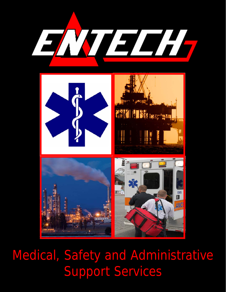



Medical, Safety and Administrative Support Services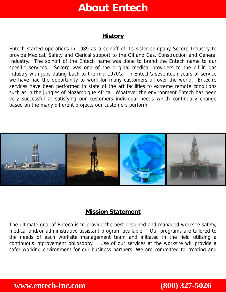# **About Entech**

### **History**

Entech started operations in 1989 as a spinoff of it's sister company Secorp Industry to provide Medical, Safety and Clerical support to the Oil and Gas, Construction and General Industry. The spinoff of the Entech name was done to brand the Entech name to our specific services. Secorp was one of the original medical providers to the oil in gas industry with jobs dating back to the mid 1970's. In Entech's seventeen years of service we have had the opportunity to work for many customers all over the world. Entech's services have been performed in state of the art facilities to extreme remote conditions such as in the jungles of Mozambique Africa. Whatever the environment Entech has been very successful at satisfying our customers individual needs which continually change based on the many different projects our customers perform.



## **Mission Statement**

The ultimate goal of Entech is to provide the best-designed and managed worksite safety, medical and/or administrative assistant program available. Our programs are tailored to the needs of each worksite management team and initiated in the field utilizing a continuous improvement philosophy. Use of our services at the worksite will provide a safer working environment for our business partners. We are committed to creating and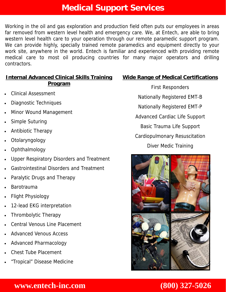# **Medical Support Services**

Working in the oil and gas exploration and production field often puts our employees in areas far removed from western level health and emergency care. We, at Entech, are able to bring western level health care to your operation through our remote paramedic support program. We can provide highly, specially trained remote paramedics and equipment directly to your work site, anywhere in the world. Entech is familiar and experienced with providing remote medical care to most oil producing countries for many major operators and drilling contractors.

### **Internal Advanced Clinical Skills Training Program**

- Clinical Assessment
- Diagnostic Techniques
- Minor Wound Management
- Simple Suturing
- Antibiotic Therapy
- Otolaryngology
- Ophthalmology
- Upper Respiratory Disorders and Treatment
- Gastrointestinal Disorders and Treatment
- Paralytic Drugs and Therapy
- Barotrauma
- Flight Physiology
- 12-lead EKG interpretation
- Thrombolytic Therapy
- Central Venous Line Placement
- Advanced Venous Access
- Advanced Pharmacology
- Chest Tube Placement
- "Tropical" Disease Medicine

## **Wide Range of Medical Certifications**

First Responders Nationally Registered EMT-B Nationally Registered EMT-P Advanced Cardiac Life Support Basic Trauma Life Support Cardiopulmonary Resuscitation Diver Medic Training

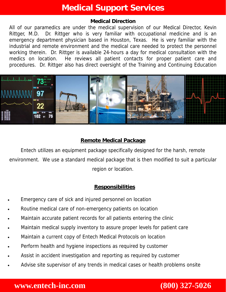# **Medical Support Services**

### **Medical Direction**

All of our paramedics are under the medical supervision of our Medical Director, Kevin Rittger, M.D. Dr. Rittger who is very familiar with occupational medicine and is an emergency department physician based in Houston, Texas. He is very familiar with the industrial and remote environment and the medical care needed to protect the personnel working therein. Dr. Rittger is available 24-hours a day for medical consultation with the medics on location. He reviews all patient contacts for proper patient care and procedures. Dr. Rittger also has direct oversight of the Training and Continuing Education



### **Remote Medical Package**

Entech utilizes an equipment package specifically designed for the harsh, remote environment. We use a standard medical package that is then modified to suit a particular region or location.

### **Responsibilities**

- Emergency care of sick and injured personnel on location
- Routine medical care of non-emergency patients on location
- Maintain accurate patient records for all patients entering the clinic
- Maintain medical supply inventory to assure proper levels for patient care
- Maintain a current copy of Entech Medical Protocols on location
- Perform health and hygiene inspections as required by customer
- Assist in accident investigation and reporting as required by customer
- Advise site supervisor of any trends in medical cases or health problems onsite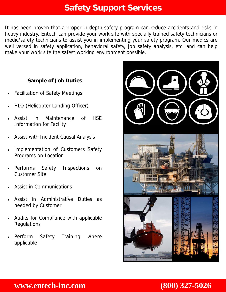# **Safety Support Services**

It has been proven that a proper in-depth safety program can reduce accidents and risks in heavy industry. Entech can provide your work site with specially trained safety technicians or medic/safety technicians to assist you in implementing your safety program. Our medics are well versed in safety application, behavioral safety, job safety analysis, etc. and can help make your work site the safest working environment possible.

### **Sample of Job Duties**

- Facilitation of Safety Meetings
- HLO (Helicopter Landing Officer)
- Assist in Maintenance of HSE Information for Facility
- Assist with Incident Causal Analysis
- Implementation of Customers Safety Programs on Location
- Performs Safety Inspections on Customer Site
- Assist in Communications
- Assist in Administrative Duties as needed by Customer
- Audits for Compliance with applicable Regulations
- Perform Safety Training where applicable

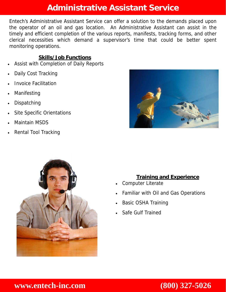# **Administrative Assistant Service**

Entech's Administrative Assistant Service can offer a solution to the demands placed upon the operator of an oil and gas location. An Administrative Assistant can assist in the timely and efficient completion of the various reports, manifests, tracking forms, and other clerical necessities which demand a supervisor's time that could be better spent monitoring operations.

### **Skills/Job Functions**

- Assist with Completion of Daily Reports
- Daily Cost Tracking
- Invoice Facilitation
- **Manifesting**
- **Dispatching**
- Site Specific Orientations
- Maintain MSDS
- Rental Tool Tracking





### **Training and Experience**

- Computer Literate
- Familiar with Oil and Gas Operations
- Basic OSHA Training
- Safe Gulf Trained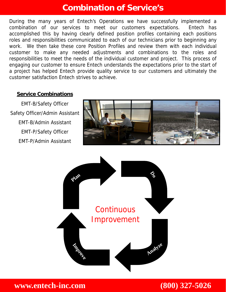# **Combination of Service's**

During the many years of Entech's Operations we have successfully implemented a combination of our services to meet our customers expectations. Entech has accomplished this by having clearly defined position profiles containing each positions roles and responsibilities communicated to each of our technicians prior to beginning any work. We then take these core Position Profiles and review them with each individual customer to make any needed adjustments and combinations to the roles and responsibilities to meet the needs of the individual customer and project. This process of engaging our customer to ensure Entech understands the expectations prior to the start of a project has helped Entech provide quality service to our customers and ultimately the customer satisfaction Entech strives to achieve.

### **Service Combinations**

EMT-B/Safety Officer Safety Officer/Admin Assistant EMT-B/Admin Assistant EMT-P/Safety Officer EMT-P/Admin Assistant